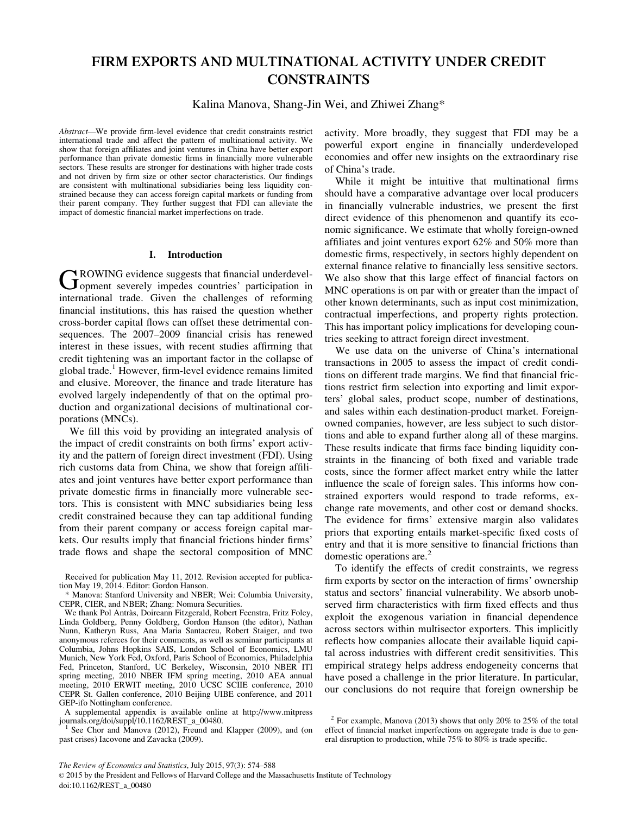# FIRM EXPORTS AND MULTINATIONAL ACTIVITY UNDER CREDIT CONSTRAINTS

Kalina Manova, Shang-Jin Wei, and Zhiwei Zhang\*

Abstract—We provide firm-level evidence that credit constraints restrict international trade and affect the pattern of multinational activity. We show that foreign affiliates and joint ventures in China have better export performance than private domestic firms in financially more vulnerable sectors. These results are stronger for destinations with higher trade costs and not driven by firm size or other sector characteristics. Our findings are consistent with multinational subsidiaries being less liquidity constrained because they can access foreign capital markets or funding from their parent company. They further suggest that FDI can alleviate the impact of domestic financial market imperfections on trade.

#### I. Introduction

GROWING evidence suggests that financial underdevel-<br> **G**opment severely impedes countries' participation in international trade. Given the challenges of reforming financial institutions, this has raised the question whether cross-border capital flows can offset these detrimental consequences. The 2007–2009 financial crisis has renewed interest in these issues, with recent studies affirming that credit tightening was an important factor in the collapse of global trade.<sup>1</sup> However, firm-level evidence remains limited and elusive. Moreover, the finance and trade literature has evolved largely independently of that on the optimal production and organizational decisions of multinational corporations (MNCs).

We fill this void by providing an integrated analysis of the impact of credit constraints on both firms' export activity and the pattern of foreign direct investment (FDI). Using rich customs data from China, we show that foreign affiliates and joint ventures have better export performance than private domestic firms in financially more vulnerable sectors. This is consistent with MNC subsidiaries being less credit constrained because they can tap additional funding from their parent company or access foreign capital markets. Our results imply that financial frictions hinder firms' trade flows and shape the sectoral composition of MNC

A supplemental appendix is available online at http://www.mitpress

<sup>1</sup> See Chor and Manova (2012), Freund and Klapper (2009), and (on past crises) Iacovone and Zavacka (2009).

activity. More broadly, they suggest that FDI may be a powerful export engine in financially underdeveloped economies and offer new insights on the extraordinary rise of China's trade.

While it might be intuitive that multinational firms should have a comparative advantage over local producers in financially vulnerable industries, we present the first direct evidence of this phenomenon and quantify its economic significance. We estimate that wholly foreign-owned affiliates and joint ventures export 62% and 50% more than domestic firms, respectively, in sectors highly dependent on external finance relative to financially less sensitive sectors. We also show that this large effect of financial factors on MNC operations is on par with or greater than the impact of other known determinants, such as input cost minimization, contractual imperfections, and property rights protection. This has important policy implications for developing countries seeking to attract foreign direct investment.

We use data on the universe of China's international transactions in 2005 to assess the impact of credit conditions on different trade margins. We find that financial frictions restrict firm selection into exporting and limit exporters' global sales, product scope, number of destinations, and sales within each destination-product market. Foreignowned companies, however, are less subject to such distortions and able to expand further along all of these margins. These results indicate that firms face binding liquidity constraints in the financing of both fixed and variable trade costs, since the former affect market entry while the latter influence the scale of foreign sales. This informs how constrained exporters would respond to trade reforms, exchange rate movements, and other cost or demand shocks. The evidence for firms' extensive margin also validates priors that exporting entails market-specific fixed costs of entry and that it is more sensitive to financial frictions than domestic operations are. $^{2}$ 

To identify the effects of credit constraints, we regress firm exports by sector on the interaction of firms' ownership status and sectors' financial vulnerability. We absorb unobserved firm characteristics with firm fixed effects and thus exploit the exogenous variation in financial dependence across sectors within multisector exporters. This implicitly reflects how companies allocate their available liquid capital across industries with different credit sensitivities. This empirical strategy helps address endogeneity concerns that have posed a challenge in the prior literature. In particular, our conclusions do not require that foreign ownership be

Received for publication May 11, 2012. Revision accepted for publication May 19, 2014. Editor: Gordon Hanson.

<sup>\*</sup> Manova: Stanford University and NBER; Wei: Columbia University, CEPR, CIER, and NBER; Zhang: Nomura Securities.

We thank Pol Antràs, Doireann Fitzgerald, Robert Feenstra, Fritz Foley, Linda Goldberg, Penny Goldberg, Gordon Hanson (the editor), Nathan Nunn, Katheryn Russ, Ana Maria Santacreu, Robert Staiger, and two anonymous referees for their comments, as well as seminar participants at Columbia, Johns Hopkins SAIS, London School of Economics, LMU Munich, New York Fed, Oxford, Paris School of Economics, Philadelphia Fed, Princeton, Stanford, UC Berkeley, Wisconsin, 2010 NBER ITI spring meeting, 2010 NBER IFM spring meeting, 2010 AEA annual meeting, 2010 ERWIT meeting, 2010 UCSC SCIIE conference, 2010 CEPR St. Gallen conference, 2010 Beijing UIBE conference, and 2011 GEP-ifo Nottingham conference.

 $2$  For example, Manova (2013) shows that only 20% to 25% of the total effect of financial market imperfections on aggregate trade is due to general disruption to production, while 75% to 80% is trade specific.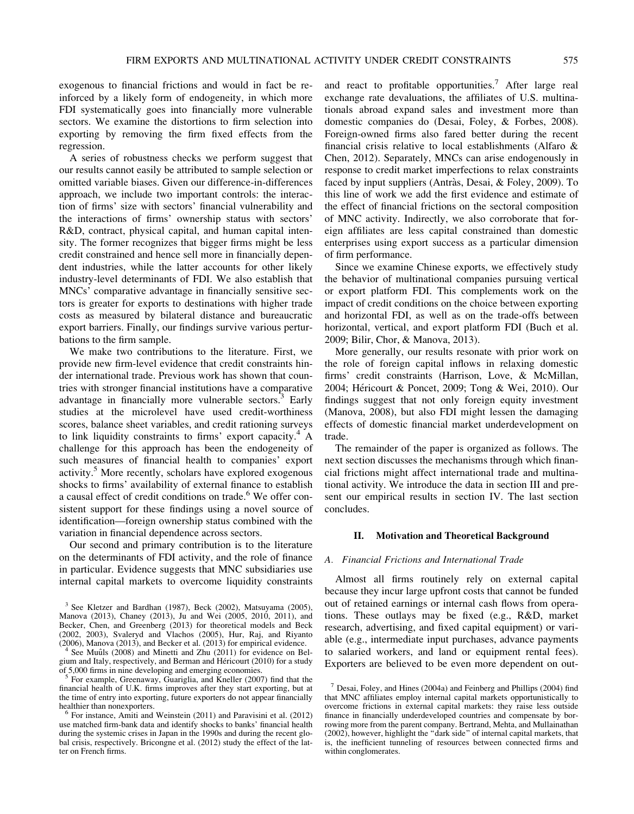exogenous to financial frictions and would in fact be reinforced by a likely form of endogeneity, in which more FDI systematically goes into financially more vulnerable sectors. We examine the distortions to firm selection into exporting by removing the firm fixed effects from the regression.

A series of robustness checks we perform suggest that our results cannot easily be attributed to sample selection or omitted variable biases. Given our difference-in-differences approach, we include two important controls: the interaction of firms' size with sectors' financial vulnerability and the interactions of firms' ownership status with sectors' R&D, contract, physical capital, and human capital intensity. The former recognizes that bigger firms might be less credit constrained and hence sell more in financially dependent industries, while the latter accounts for other likely industry-level determinants of FDI. We also establish that MNCs' comparative advantage in financially sensitive sectors is greater for exports to destinations with higher trade costs as measured by bilateral distance and bureaucratic export barriers. Finally, our findings survive various perturbations to the firm sample.

We make two contributions to the literature. First, we provide new firm-level evidence that credit constraints hinder international trade. Previous work has shown that countries with stronger financial institutions have a comparative advantage in financially more vulnerable sectors. $3$  Early studies at the microlevel have used credit-worthiness scores, balance sheet variables, and credit rationing surveys to link liquidity constraints to firms' export capacity. $4 \text{ A}$ challenge for this approach has been the endogeneity of such measures of financial health to companies' export activity.<sup>5</sup> More recently, scholars have explored exogenous shocks to firms' availability of external finance to establish a causal effect of credit conditions on trade.<sup>6</sup> We offer consistent support for these findings using a novel source of identification—foreign ownership status combined with the variation in financial dependence across sectors.

Our second and primary contribution is to the literature on the determinants of FDI activity, and the role of finance in particular. Evidence suggests that MNC subsidiaries use internal capital markets to overcome liquidity constraints

and react to profitable opportunities.<sup>7</sup> After large real exchange rate devaluations, the affiliates of U.S. multinationals abroad expand sales and investment more than domestic companies do (Desai, Foley, & Forbes, 2008). Foreign-owned firms also fared better during the recent financial crisis relative to local establishments (Alfaro & Chen, 2012). Separately, MNCs can arise endogenously in response to credit market imperfections to relax constraints faced by input suppliers (Antràs, Desai, & Foley, 2009). To this line of work we add the first evidence and estimate of the effect of financial frictions on the sectoral composition of MNC activity. Indirectly, we also corroborate that foreign affiliates are less capital constrained than domestic enterprises using export success as a particular dimension of firm performance.

Since we examine Chinese exports, we effectively study the behavior of multinational companies pursuing vertical or export platform FDI. This complements work on the impact of credit conditions on the choice between exporting and horizontal FDI, as well as on the trade-offs between horizontal, vertical, and export platform FDI (Buch et al. 2009; Bilir, Chor, & Manova, 2013).

More generally, our results resonate with prior work on the role of foreign capital inflows in relaxing domestic firms' credit constraints (Harrison, Love, & McMillan, 2004; Héricourt & Poncet, 2009; Tong & Wei, 2010). Our findings suggest that not only foreign equity investment (Manova, 2008), but also FDI might lessen the damaging effects of domestic financial market underdevelopment on trade.

The remainder of the paper is organized as follows. The next section discusses the mechanisms through which financial frictions might affect international trade and multinational activity. We introduce the data in section III and present our empirical results in section IV. The last section concludes.

## II. Motivation and Theoretical Background

## A. Financial Frictions and International Trade

Almost all firms routinely rely on external capital because they incur large upfront costs that cannot be funded out of retained earnings or internal cash flows from operations. These outlays may be fixed (e.g., R&D, market research, advertising, and fixed capital equipment) or variable (e.g., intermediate input purchases, advance payments to salaried workers, and land or equipment rental fees). Exporters are believed to be even more dependent on out-

<sup>3</sup> See Kletzer and Bardhan (1987), Beck (2002), Matsuyama (2005), Manova (2013), Chaney (2013), Ju and Wei (2005, 2010, 2011), and Becker, Chen, and Greenberg (2013) for theoretical models and Beck  $(2002, 2003)$ , Svaleryd and Vlachos  $(2005)$ , Hur, Raj, and Riyanto  $(2006)$ , Manova  $(2013)$ , and Becker et al.  $(2013)$  for empirical evidence.

See Muûls (2008) and Minetti and Zhu (2011) for evidence on Belgium and Italy, respectively, and Berman and Héricourt (2010) for a study of 5,000 firms in nine developing and emerging economies.

For example, Greenaway, Guariglia, and Kneller (2007) find that the financial health of U.K. firms improves after they start exporting, but at the time of entry into exporting, future exporters do not appear financially

healthier than nonexporters.<br><sup>6</sup> For instance, Amiti and Weinstein (2011) and Paravisini et al. (2012) use matched firm-bank data and identify shocks to banks' financial health during the systemic crises in Japan in the 1990s and during the recent global crisis, respectively. Bricongne et al. (2012) study the effect of the latter on French firms.

 $<sup>7</sup>$  Desai, Foley, and Hines (2004a) and Feinberg and Phillips (2004) find</sup> that MNC affiliates employ internal capital markets opportunistically to overcome frictions in external capital markets: they raise less outside finance in financially underdeveloped countries and compensate by borrowing more from the parent company. Bertrand, Mehta, and Mullainathan (2002), however, highlight the ''dark side'' of internal capital markets, that is, the inefficient tunneling of resources between connected firms and within conglomerates.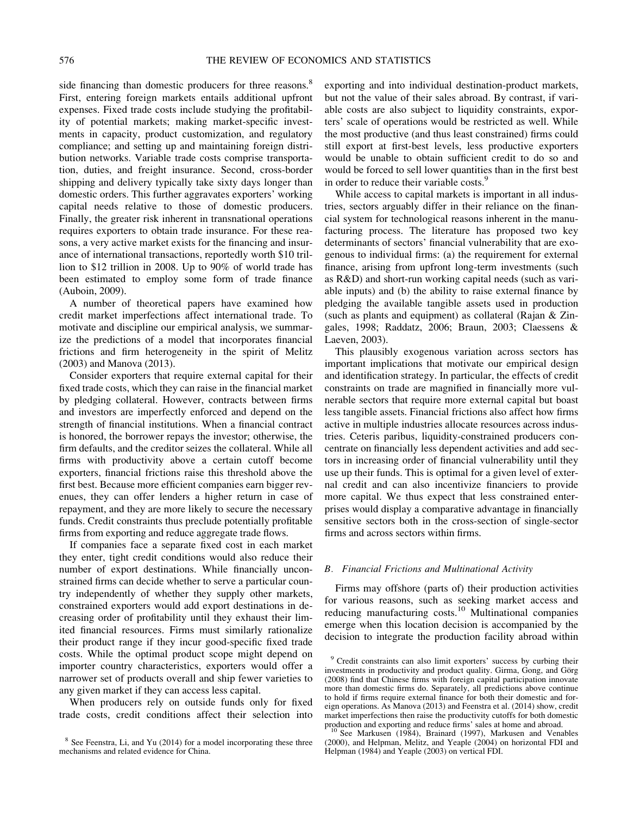side financing than domestic producers for three reasons.<sup>8</sup> First, entering foreign markets entails additional upfront expenses. Fixed trade costs include studying the profitability of potential markets; making market-specific investments in capacity, product customization, and regulatory compliance; and setting up and maintaining foreign distribution networks. Variable trade costs comprise transportation, duties, and freight insurance. Second, cross-border shipping and delivery typically take sixty days longer than domestic orders. This further aggravates exporters' working capital needs relative to those of domestic producers. Finally, the greater risk inherent in transnational operations requires exporters to obtain trade insurance. For these reasons, a very active market exists for the financing and insurance of international transactions, reportedly worth \$10 trillion to \$12 trillion in 2008. Up to 90% of world trade has been estimated to employ some form of trade finance (Auboin, 2009).

A number of theoretical papers have examined how credit market imperfections affect international trade. To motivate and discipline our empirical analysis, we summarize the predictions of a model that incorporates financial frictions and firm heterogeneity in the spirit of Melitz (2003) and Manova (2013).

Consider exporters that require external capital for their fixed trade costs, which they can raise in the financial market by pledging collateral. However, contracts between firms and investors are imperfectly enforced and depend on the strength of financial institutions. When a financial contract is honored, the borrower repays the investor; otherwise, the firm defaults, and the creditor seizes the collateral. While all firms with productivity above a certain cutoff become exporters, financial frictions raise this threshold above the first best. Because more efficient companies earn bigger revenues, they can offer lenders a higher return in case of repayment, and they are more likely to secure the necessary funds. Credit constraints thus preclude potentially profitable firms from exporting and reduce aggregate trade flows.

If companies face a separate fixed cost in each market they enter, tight credit conditions would also reduce their number of export destinations. While financially unconstrained firms can decide whether to serve a particular country independently of whether they supply other markets, constrained exporters would add export destinations in decreasing order of profitability until they exhaust their limited financial resources. Firms must similarly rationalize their product range if they incur good-specific fixed trade costs. While the optimal product scope might depend on importer country characteristics, exporters would offer a narrower set of products overall and ship fewer varieties to any given market if they can access less capital.

When producers rely on outside funds only for fixed trade costs, credit conditions affect their selection into

exporting and into individual destination-product markets, but not the value of their sales abroad. By contrast, if variable costs are also subject to liquidity constraints, exporters' scale of operations would be restricted as well. While the most productive (and thus least constrained) firms could still export at first-best levels, less productive exporters would be unable to obtain sufficient credit to do so and would be forced to sell lower quantities than in the first best in order to reduce their variable costs.<sup>9</sup>

While access to capital markets is important in all industries, sectors arguably differ in their reliance on the financial system for technological reasons inherent in the manufacturing process. The literature has proposed two key determinants of sectors' financial vulnerability that are exogenous to individual firms: (a) the requirement for external finance, arising from upfront long-term investments (such as R&D) and short-run working capital needs (such as variable inputs) and (b) the ability to raise external finance by pledging the available tangible assets used in production (such as plants and equipment) as collateral (Rajan & Zingales, 1998; Raddatz, 2006; Braun, 2003; Claessens & Laeven, 2003).

This plausibly exogenous variation across sectors has important implications that motivate our empirical design and identification strategy. In particular, the effects of credit constraints on trade are magnified in financially more vulnerable sectors that require more external capital but boast less tangible assets. Financial frictions also affect how firms active in multiple industries allocate resources across industries. Ceteris paribus, liquidity-constrained producers concentrate on financially less dependent activities and add sectors in increasing order of financial vulnerability until they use up their funds. This is optimal for a given level of external credit and can also incentivize financiers to provide more capital. We thus expect that less constrained enterprises would display a comparative advantage in financially sensitive sectors both in the cross-section of single-sector firms and across sectors within firms.

## B. Financial Frictions and Multinational Activity

Firms may offshore (parts of) their production activities for various reasons, such as seeking market access and reducing manufacturing costs.<sup>10</sup> Multinational companies emerge when this location decision is accompanied by the decision to integrate the production facility abroad within

<sup>8</sup> See Feenstra, Li, and Yu (2014) for a model incorporating these three mechanisms and related evidence for China.

<sup>&</sup>lt;sup>9</sup> Credit constraints can also limit exporters' success by curbing their investments in productivity and product quality. Girma, Gong, and Görg (2008) find that Chinese firms with foreign capital participation innovate more than domestic firms do. Separately, all predictions above continue to hold if firms require external finance for both their domestic and foreign operations. As Manova (2013) and Feenstra et al. (2014) show, credit market imperfections then raise the productivity cutoffs for both domestic production and exporting and reduce firms' sales at home and abroad.<br><sup>10</sup> See Markusen (1984), Brainard (1997), Markusen and Venables

<sup>(2000),</sup> and Helpman, Melitz, and Yeaple (2004) on horizontal FDI and Helpman (1984) and Yeaple (2003) on vertical FDI.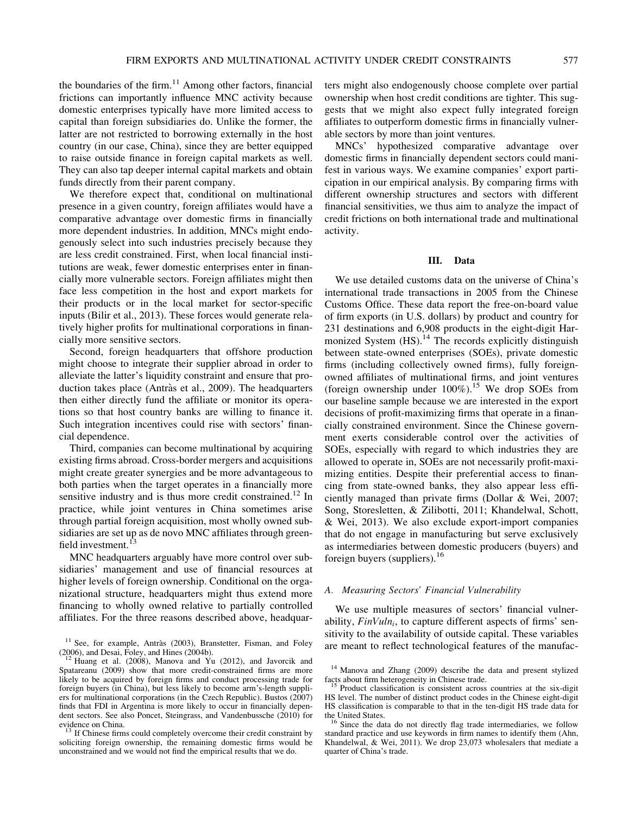the boundaries of the firm.<sup>11</sup> Among other factors, financial frictions can importantly influence MNC activity because domestic enterprises typically have more limited access to capital than foreign subsidiaries do. Unlike the former, the latter are not restricted to borrowing externally in the host country (in our case, China), since they are better equipped to raise outside finance in foreign capital markets as well. They can also tap deeper internal capital markets and obtain funds directly from their parent company.

We therefore expect that, conditional on multinational presence in a given country, foreign affiliates would have a comparative advantage over domestic firms in financially more dependent industries. In addition, MNCs might endogenously select into such industries precisely because they are less credit constrained. First, when local financial institutions are weak, fewer domestic enterprises enter in financially more vulnerable sectors. Foreign affiliates might then face less competition in the host and export markets for their products or in the local market for sector-specific inputs (Bilir et al., 2013). These forces would generate relatively higher profits for multinational corporations in financially more sensitive sectors.

Second, foreign headquarters that offshore production might choose to integrate their supplier abroad in order to alleviate the latter's liquidity constraint and ensure that production takes place (Antràs et al., 2009). The headquarters then either directly fund the affiliate or monitor its operations so that host country banks are willing to finance it. Such integration incentives could rise with sectors' financial dependence.

Third, companies can become multinational by acquiring existing firms abroad. Cross-border mergers and acquisitions might create greater synergies and be more advantageous to both parties when the target operates in a financially more sensitive industry and is thus more credit constrained.<sup>12</sup> In practice, while joint ventures in China sometimes arise through partial foreign acquisition, most wholly owned subsidiaries are set up as de novo MNC affiliates through greenfield investment.<sup>13</sup>

MNC headquarters arguably have more control over subsidiaries' management and use of financial resources at higher levels of foreign ownership. Conditional on the organizational structure, headquarters might thus extend more financing to wholly owned relative to partially controlled affiliates. For the three reasons described above, headquarters might also endogenously choose complete over partial ownership when host credit conditions are tighter. This suggests that we might also expect fully integrated foreign affiliates to outperform domestic firms in financially vulnerable sectors by more than joint ventures.

MNCs' hypothesized comparative advantage over domestic firms in financially dependent sectors could manifest in various ways. We examine companies' export participation in our empirical analysis. By comparing firms with different ownership structures and sectors with different financial sensitivities, we thus aim to analyze the impact of credit frictions on both international trade and multinational activity.

## III. Data

We use detailed customs data on the universe of China's international trade transactions in 2005 from the Chinese Customs Office. These data report the free-on-board value of firm exports (in U.S. dollars) by product and country for 231 destinations and 6,908 products in the eight-digit Harmonized System (HS).<sup>14</sup> The records explicitly distinguish between state-owned enterprises (SOEs), private domestic firms (including collectively owned firms), fully foreignowned affiliates of multinational firms, and joint ventures (foreign ownership under  $100\%$ ).<sup>15</sup> We drop SOEs from our baseline sample because we are interested in the export decisions of profit-maximizing firms that operate in a financially constrained environment. Since the Chinese government exerts considerable control over the activities of SOEs, especially with regard to which industries they are allowed to operate in, SOEs are not necessarily profit-maximizing entities. Despite their preferential access to financing from state-owned banks, they also appear less efficiently managed than private firms (Dollar & Wei, 2007; Song, Storesletten, & Zilibotti, 2011; Khandelwal, Schott, & Wei, 2013). We also exclude export-import companies that do not engage in manufacturing but serve exclusively as intermediaries between domestic producers (buyers) and foreign buyers (suppliers).16

## A. Measuring Sectors' Financial Vulnerability

We use multiple measures of sectors' financial vulnerability,  $FinVuln_i$ , to capture different aspects of firms' sensitivity to the availability of outside capital. These variables <sup>11</sup> See, for example, Antràs (2003), Branstetter, Fisman, and Foley are meant to reflect technological features of the manufac-

 $(2006)$ , and Desai, Foley, and Hines  $(2004b)$ .<br><sup>12</sup> Huang et al. (2008), Manova and Yu (2012), and Javorcik and

Spatareanu (2009) show that more credit-constrained firms are more likely to be acquired by foreign firms and conduct processing trade for foreign buyers (in China), but less likely to become arm's-length suppliers for multinational corporations (in the Czech Republic). Bustos (2007) finds that FDI in Argentina is more likely to occur in financially dependent sectors. See also Poncet, Steingrass, and Vandenbussche (2010) for evidence on China.

 $^{13}$  If Chinese firms could completely overcome their credit constraint by soliciting foreign ownership, the remaining domestic firms would be unconstrained and we would not find the empirical results that we do.

<sup>14</sup> Manova and Zhang (2009) describe the data and present stylized facts about firm heterogeneity in Chinese trade.<br><sup>15</sup> Product classification is consistent across countries at the six-digit

HS level. The number of distinct product codes in the Chinese eight-digit HS classification is comparable to that in the ten-digit HS trade data for the United States.<br><sup>16</sup> Since the data do not directly flag trade intermediaries, we follow

standard practice and use keywords in firm names to identify them (Ahn, Khandelwal, & Wei, 2011). We drop 23,073 wholesalers that mediate a quarter of China's trade.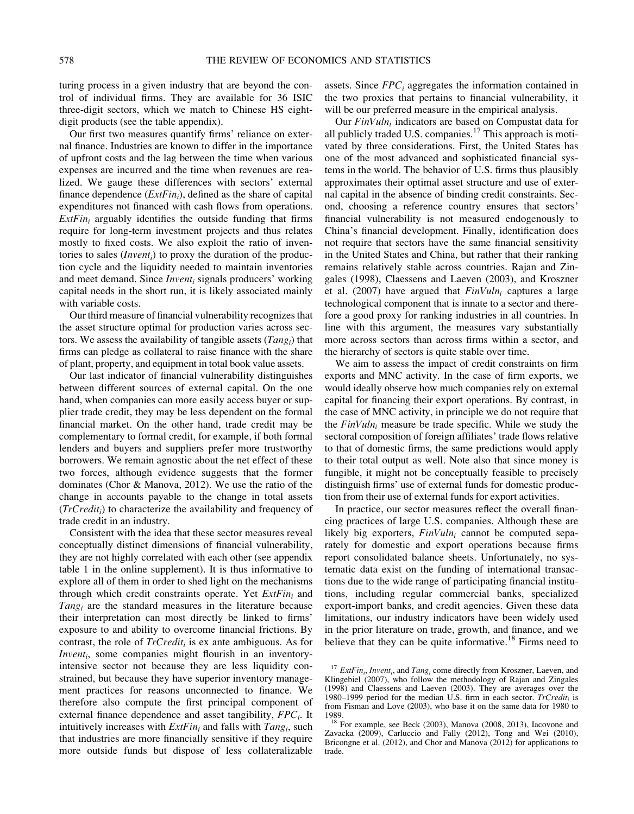turing process in a given industry that are beyond the control of individual firms. They are available for 36 ISIC three-digit sectors, which we match to Chinese HS eightdigit products (see the table appendix).

Our first two measures quantify firms' reliance on external finance. Industries are known to differ in the importance of upfront costs and the lag between the time when various expenses are incurred and the time when revenues are realized. We gauge these differences with sectors' external finance dependence  $(ExFin<sub>i</sub>)$ , defined as the share of capital expenditures not financed with cash flows from operations.  $ExtFin_i$  arguably identifies the outside funding that firms require for long-term investment projects and thus relates mostly to fixed costs. We also exploit the ratio of inventories to sales  $(Invent<sub>i</sub>)$  to proxy the duration of the production cycle and the liquidity needed to maintain inventories and meet demand. Since *Invent<sub>i</sub>* signals producers' working capital needs in the short run, it is likely associated mainly with variable costs.

Our third measure of financial vulnerability recognizes that the asset structure optimal for production varies across sectors. We assess the availability of tangible assets  $(Tang_i)$  that firms can pledge as collateral to raise finance with the share of plant, property, and equipment in total book value assets.

Our last indicator of financial vulnerability distinguishes between different sources of external capital. On the one hand, when companies can more easily access buyer or supplier trade credit, they may be less dependent on the formal financial market. On the other hand, trade credit may be complementary to formal credit, for example, if both formal lenders and buyers and suppliers prefer more trustworthy borrowers. We remain agnostic about the net effect of these two forces, although evidence suggests that the former dominates (Chor & Manova, 2012). We use the ratio of the change in accounts payable to the change in total assets  $(TrCredit_i)$  to characterize the availability and frequency of trade credit in an industry.

Consistent with the idea that these sector measures reveal conceptually distinct dimensions of financial vulnerability, they are not highly correlated with each other (see appendix table 1 in the online supplement). It is thus informative to explore all of them in order to shed light on the mechanisms through which credit constraints operate. Yet  $ExtFin_i$  and  $Tang_i$  are the standard measures in the literature because their interpretation can most directly be linked to firms' exposure to and ability to overcome financial frictions. By contrast, the role of  $TrCredit_i$  is ex ante ambiguous. As for  $Invent<sub>i</sub>$ , some companies might flourish in an inventoryintensive sector not because they are less liquidity constrained, but because they have superior inventory management practices for reasons unconnected to finance. We therefore also compute the first principal component of external finance dependence and asset tangibility,  $FPC<sub>i</sub>$ . It intuitively increases with  $ExFin_i$  and falls with  $Tang_i$ , such that industries are more financially sensitive if they require more outside funds but dispose of less collateralizable

assets. Since  $FPC<sub>i</sub>$  aggregates the information contained in the two proxies that pertains to financial vulnerability, it will be our preferred measure in the empirical analysis.

Our  $FinVuln_i$  indicators are based on Compustat data for all publicly traded U.S. companies.<sup>17</sup> This approach is motivated by three considerations. First, the United States has one of the most advanced and sophisticated financial systems in the world. The behavior of U.S. firms thus plausibly approximates their optimal asset structure and use of external capital in the absence of binding credit constraints. Second, choosing a reference country ensures that sectors' financial vulnerability is not measured endogenously to China's financial development. Finally, identification does not require that sectors have the same financial sensitivity in the United States and China, but rather that their ranking remains relatively stable across countries. Rajan and Zingales (1998), Claessens and Laeven (2003), and Kroszner et al. (2007) have argued that  $FinVuln_i$  captures a large technological component that is innate to a sector and therefore a good proxy for ranking industries in all countries. In line with this argument, the measures vary substantially more across sectors than across firms within a sector, and the hierarchy of sectors is quite stable over time.

We aim to assess the impact of credit constraints on firm exports and MNC activity. In the case of firm exports, we would ideally observe how much companies rely on external capital for financing their export operations. By contrast, in the case of MNC activity, in principle we do not require that the  $FinVuln_i$  measure be trade specific. While we study the sectoral composition of foreign affiliates' trade flows relative to that of domestic firms, the same predictions would apply to their total output as well. Note also that since money is fungible, it might not be conceptually feasible to precisely distinguish firms' use of external funds for domestic production from their use of external funds for export activities.

In practice, our sector measures reflect the overall financing practices of large U.S. companies. Although these are likely big exporters,  $FinVuh_i$  cannot be computed separately for domestic and export operations because firms report consolidated balance sheets. Unfortunately, no systematic data exist on the funding of international transactions due to the wide range of participating financial institutions, including regular commercial banks, specialized export-import banks, and credit agencies. Given these data limitations, our industry indicators have been widely used in the prior literature on trade, growth, and finance, and we believe that they can be quite informative.<sup>18</sup> Firms need to

<sup>&</sup>lt;sup>17</sup> ExtFin<sub>i</sub>, Invent<sub>i</sub>, and Tang<sub>i</sub> come directly from Kroszner, Laeven, and Klingebiel (2007), who follow the methodology of Rajan and Zingales (1998) and Claessens and Laeven (2003). They are averages over the 1980–1999 period for the median U.S. firm in each sector.  $TrCredit_i$  is from Fisman and Love (2003), who base it on the same data for 1980 to

<sup>1989.&</sup>lt;br><sup>18</sup> For example, see Beck (2003), Manova (2008, 2013), Iacovone and Wei (2010) Zavacka (2009), Carluccio and Fally (2012), Tong and Wei (2010), Bricongne et al. (2012), and Chor and Manova (2012) for applications to trade.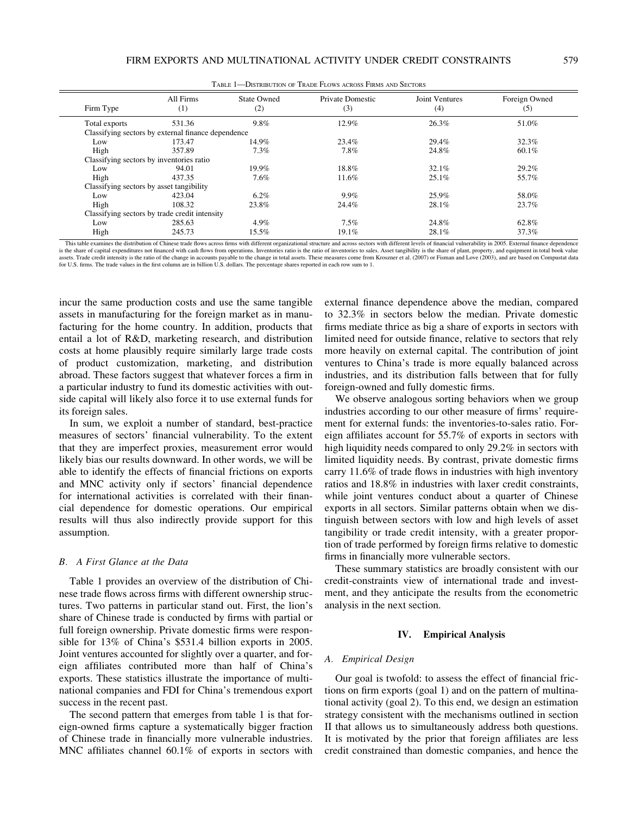| TABLE 1—DISTRIBUTION OF TRADE FLOWS ACROSS FIRMS AND SECTORS |                                                    |                    |                         |                       |                      |
|--------------------------------------------------------------|----------------------------------------------------|--------------------|-------------------------|-----------------------|----------------------|
| Firm Type                                                    | All Firms<br>(1)                                   | State Owned<br>(2) | Private Domestic<br>(3) | Joint Ventures<br>(4) | Foreign Owned<br>(5) |
| Total exports                                                | 531.36                                             | $9.8\%$            | 12.9%                   | 26.3%                 | 51.0%                |
|                                                              | Classifying sectors by external finance dependence |                    |                         |                       |                      |
| Low                                                          | 173.47                                             | 14.9%              | 23.4%                   | 29.4%                 | 32.3%                |
| High                                                         | 357.89                                             | 7.3%               | 7.8%                    | 24.8%                 | 60.1%                |
|                                                              | Classifying sectors by inventories ratio           |                    |                         |                       |                      |
| Low                                                          | 94.01                                              | 19.9%              | 18.8%                   | 32.1%                 | 29.2%                |
| High                                                         | 437.35                                             | $7.6\%$            | 11.6%                   | $25.1\%$              | 55.7%                |
| Classifying sectors by asset tangibility                     |                                                    |                    |                         |                       |                      |
| Low                                                          | 423.04                                             | $6.2\%$            | 9.9%                    | 25.9%                 | 58.0%                |
| High                                                         | 108.32                                             | 23.8%              | 24.4%                   | 28.1%                 | 23.7%                |
|                                                              | Classifying sectors by trade credit intensity      |                    |                         |                       |                      |
| Low                                                          | 285.63                                             | 4.9%               | $7.5\%$                 | 24.8%                 | 62.8%                |
| High                                                         | 245.73                                             | 15.5%              | $19.1\%$                | 28.1%                 | 37.3%                |

This table examines the distribution of Chinese trade flows across firms with different organizational structure and across sectors with different levels of financial vulnerability in 2005. External finance dependence is the share of capital expenditures not financed with cash flows from operations. Inventories ratio is the ratio of inventories to sales. Asset tangibility is the share of plant, property, and equipment in total book valu assets. Trade credit intensity is the ratio of the change in accounts payable to the change in total assets. These measures come from Kroszner et al. (2007) or Fisman and Love (2003), and are based on Compustat data for U.S. firms. The trade values in the first column are in billion U.S. dollars. The percentage shares reported in each row sum to 1.

incur the same production costs and use the same tangible assets in manufacturing for the foreign market as in manufacturing for the home country. In addition, products that entail a lot of R&D, marketing research, and distribution costs at home plausibly require similarly large trade costs of product customization, marketing, and distribution abroad. These factors suggest that whatever forces a firm in a particular industry to fund its domestic activities with outside capital will likely also force it to use external funds for its foreign sales.

In sum, we exploit a number of standard, best-practice measures of sectors' financial vulnerability. To the extent that they are imperfect proxies, measurement error would likely bias our results downward. In other words, we will be able to identify the effects of financial frictions on exports and MNC activity only if sectors' financial dependence for international activities is correlated with their financial dependence for domestic operations. Our empirical results will thus also indirectly provide support for this assumption.

## B. A First Glance at the Data

Table 1 provides an overview of the distribution of Chinese trade flows across firms with different ownership structures. Two patterns in particular stand out. First, the lion's share of Chinese trade is conducted by firms with partial or full foreign ownership. Private domestic firms were responsible for 13% of China's \$531.4 billion exports in 2005. Joint ventures accounted for slightly over a quarter, and foreign affiliates contributed more than half of China's exports. These statistics illustrate the importance of multinational companies and FDI for China's tremendous export success in the recent past.

The second pattern that emerges from table 1 is that foreign-owned firms capture a systematically bigger fraction of Chinese trade in financially more vulnerable industries. MNC affiliates channel 60.1% of exports in sectors with external finance dependence above the median, compared to 32.3% in sectors below the median. Private domestic firms mediate thrice as big a share of exports in sectors with limited need for outside finance, relative to sectors that rely more heavily on external capital. The contribution of joint ventures to China's trade is more equally balanced across industries, and its distribution falls between that for fully foreign-owned and fully domestic firms.

We observe analogous sorting behaviors when we group industries according to our other measure of firms' requirement for external funds: the inventories-to-sales ratio. Foreign affiliates account for 55.7% of exports in sectors with high liquidity needs compared to only 29.2% in sectors with limited liquidity needs. By contrast, private domestic firms carry 11.6% of trade flows in industries with high inventory ratios and 18.8% in industries with laxer credit constraints, while joint ventures conduct about a quarter of Chinese exports in all sectors. Similar patterns obtain when we distinguish between sectors with low and high levels of asset tangibility or trade credit intensity, with a greater proportion of trade performed by foreign firms relative to domestic firms in financially more vulnerable sectors.

These summary statistics are broadly consistent with our credit-constraints view of international trade and investment, and they anticipate the results from the econometric analysis in the next section.

## IV. Empirical Analysis

#### A. Empirical Design

Our goal is twofold: to assess the effect of financial frictions on firm exports (goal 1) and on the pattern of multinational activity (goal 2). To this end, we design an estimation strategy consistent with the mechanisms outlined in section II that allows us to simultaneously address both questions. It is motivated by the prior that foreign affiliates are less credit constrained than domestic companies, and hence the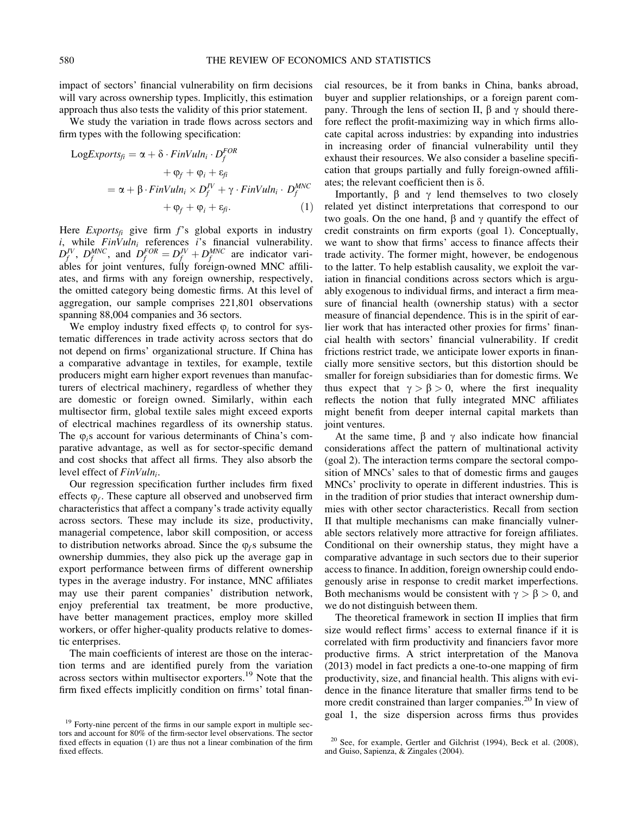impact of sectors' financial vulnerability on firm decisions will vary across ownership types. Implicitly, this estimation approach thus also tests the validity of this prior statement.

We study the variation in trade flows across sectors and firm types with the following specification:

$$
LogExpress_{fi} = \alpha + \delta \cdot FinVuln_i \cdot D_f^{FOR} + \varphi_f + \varphi_i + \varepsilon_{fi} = \alpha + \beta \cdot FinVuln_i \times D_f^V + \gamma \cdot FinVuln_i \cdot D_f^{MNC} + \varphi_f + \varphi_i + \varepsilon_{fi}.
$$
 (1)

Here  $Express_{fi}$  give firm f's global exports in industry i, while  $FinVuln_i$  references i's financial vulnerability.  $D_f^{JV}$ ,  $D_f^{MNC}$ , and  $D_f^{FOR} = D_f^{JV} + D_f^{MNC}$  are indicator variables for joint ventures, fully foreign-owned MNC affiliates, and firms with any foreign ownership, respectively, the omitted category being domestic firms. At this level of aggregation, our sample comprises 221,801 observations spanning 88,004 companies and 36 sectors.

We employ industry fixed effects  $\varphi_i$  to control for systematic differences in trade activity across sectors that do not depend on firms' organizational structure. If China has a comparative advantage in textiles, for example, textile producers might earn higher export revenues than manufacturers of electrical machinery, regardless of whether they are domestic or foreign owned. Similarly, within each multisector firm, global textile sales might exceed exports of electrical machines regardless of its ownership status. The  $\varphi$ , account for various determinants of China's comparative advantage, as well as for sector-specific demand and cost shocks that affect all firms. They also absorb the level effect of  $FinVuln_i$ .

Our regression specification further includes firm fixed effects  $\varphi_f$ . These capture all observed and unobserved firm characteristics that affect a company's trade activity equally across sectors. These may include its size, productivity, managerial competence, labor skill composition, or access to distribution networks abroad. Since the  $\varphi_f$ s subsume the ownership dummies, they also pick up the average gap in export performance between firms of different ownership types in the average industry. For instance, MNC affiliates may use their parent companies' distribution network, enjoy preferential tax treatment, be more productive, have better management practices, employ more skilled workers, or offer higher-quality products relative to domestic enterprises.

The main coefficients of interest are those on the interaction terms and are identified purely from the variation across sectors within multisector exporters.<sup>19</sup> Note that the firm fixed effects implicitly condition on firms' total financial resources, be it from banks in China, banks abroad, buyer and supplier relationships, or a foreign parent company. Through the lens of section II,  $\beta$  and  $\gamma$  should therefore reflect the profit-maximizing way in which firms allocate capital across industries: by expanding into industries in increasing order of financial vulnerability until they exhaust their resources. We also consider a baseline specification that groups partially and fully foreign-owned affiliates; the relevant coefficient then is  $\delta$ .

Importantly,  $\beta$  and  $\gamma$  lend themselves to two closely related yet distinct interpretations that correspond to our two goals. On the one hand,  $\beta$  and  $\gamma$  quantify the effect of credit constraints on firm exports (goal 1). Conceptually, we want to show that firms' access to finance affects their trade activity. The former might, however, be endogenous to the latter. To help establish causality, we exploit the variation in financial conditions across sectors which is arguably exogenous to individual firms, and interact a firm measure of financial health (ownership status) with a sector measure of financial dependence. This is in the spirit of earlier work that has interacted other proxies for firms' financial health with sectors' financial vulnerability. If credit frictions restrict trade, we anticipate lower exports in financially more sensitive sectors, but this distortion should be smaller for foreign subsidiaries than for domestic firms. We thus expect that  $\gamma > \beta > 0$ , where the first inequality reflects the notion that fully integrated MNC affiliates might benefit from deeper internal capital markets than joint ventures.

At the same time,  $\beta$  and  $\gamma$  also indicate how financial considerations affect the pattern of multinational activity (goal 2). The interaction terms compare the sectoral composition of MNCs' sales to that of domestic firms and gauges MNCs' proclivity to operate in different industries. This is in the tradition of prior studies that interact ownership dummies with other sector characteristics. Recall from section II that multiple mechanisms can make financially vulnerable sectors relatively more attractive for foreign affiliates. Conditional on their ownership status, they might have a comparative advantage in such sectors due to their superior access to finance. In addition, foreign ownership could endogenously arise in response to credit market imperfections. Both mechanisms would be consistent with  $\gamma > \beta > 0$ , and we do not distinguish between them.

The theoretical framework in section II implies that firm size would reflect firms' access to external finance if it is correlated with firm productivity and financiers favor more productive firms. A strict interpretation of the Manova (2013) model in fact predicts a one-to-one mapping of firm productivity, size, and financial health. This aligns with evidence in the finance literature that smaller firms tend to be more credit constrained than larger companies.<sup>20</sup> In view of <sup>19</sup> Forty-nine percent of the firms in our sample export in multiple sec-<br><sup>19</sup> Forty-nine percent of the firms in our sample export in multiple sec-

tors and account for 80% of the firm-sector level observations. The sector fixed effects in equation (1) are thus not a linear combination of the firm fixed effects.

 $20$  See, for example, Gertler and Gilchrist (1994), Beck et al. (2008), and Guiso, Sapienza, & Zingales (2004).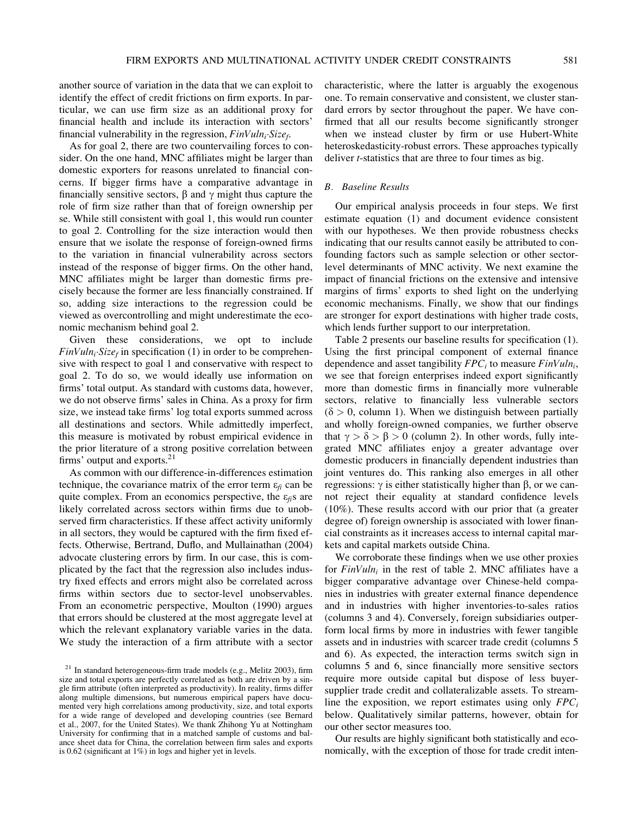another source of variation in the data that we can exploit to identify the effect of credit frictions on firm exports. In particular, we can use firm size as an additional proxy for financial health and include its interaction with sectors' financial vulnerability in the regression,  $FinVuh_i-Size_f$ .

As for goal 2, there are two countervailing forces to consider. On the one hand, MNC affiliates might be larger than domestic exporters for reasons unrelated to financial concerns. If bigger firms have a comparative advantage in financially sensitive sectors,  $\beta$  and  $\gamma$  might thus capture the role of firm size rather than that of foreign ownership per se. While still consistent with goal 1, this would run counter to goal 2. Controlling for the size interaction would then ensure that we isolate the response of foreign-owned firms to the variation in financial vulnerability across sectors instead of the response of bigger firms. On the other hand, MNC affiliates might be larger than domestic firms precisely because the former are less financially constrained. If so, adding size interactions to the regression could be viewed as overcontrolling and might underestimate the economic mechanism behind goal 2.

Given these considerations, we opt to include  $FinVuln_i: Size_f$  in specification (1) in order to be comprehensive with respect to goal 1 and conservative with respect to goal 2. To do so, we would ideally use information on firms' total output. As standard with customs data, however, we do not observe firms' sales in China. As a proxy for firm size, we instead take firms' log total exports summed across all destinations and sectors. While admittedly imperfect, this measure is motivated by robust empirical evidence in the prior literature of a strong positive correlation between firms' output and exports.<sup>21</sup>

As common with our difference-in-differences estimation technique, the covariance matrix of the error term  $\varepsilon_{fi}$  can be quite complex. From an economics perspective, the  $\varepsilon_{fi}$ s are likely correlated across sectors within firms due to unobserved firm characteristics. If these affect activity uniformly in all sectors, they would be captured with the firm fixed effects. Otherwise, Bertrand, Duflo, and Mullainathan (2004) advocate clustering errors by firm. In our case, this is complicated by the fact that the regression also includes industry fixed effects and errors might also be correlated across firms within sectors due to sector-level unobservables. From an econometric perspective, Moulton (1990) argues that errors should be clustered at the most aggregate level at which the relevant explanatory variable varies in the data. We study the interaction of a firm attribute with a sector characteristic, where the latter is arguably the exogenous one. To remain conservative and consistent, we cluster standard errors by sector throughout the paper. We have confirmed that all our results become significantly stronger when we instead cluster by firm or use Hubert-White heteroskedasticity-robust errors. These approaches typically deliver *t*-statistics that are three to four times as big.

## B. Baseline Results

Our empirical analysis proceeds in four steps. We first estimate equation (1) and document evidence consistent with our hypotheses. We then provide robustness checks indicating that our results cannot easily be attributed to confounding factors such as sample selection or other sectorlevel determinants of MNC activity. We next examine the impact of financial frictions on the extensive and intensive margins of firms' exports to shed light on the underlying economic mechanisms. Finally, we show that our findings are stronger for export destinations with higher trade costs, which lends further support to our interpretation.

Table 2 presents our baseline results for specification (1). Using the first principal component of external finance dependence and asset tangibility  $FPC_i$  to measure  $FinVuh_i$ , we see that foreign enterprises indeed export significantly more than domestic firms in financially more vulnerable sectors, relative to financially less vulnerable sectors  $(\delta > 0$ , column 1). When we distinguish between partially and wholly foreign-owned companies, we further observe that  $\gamma > \delta > \beta > 0$  (column 2). In other words, fully integrated MNC affiliates enjoy a greater advantage over domestic producers in financially dependent industries than joint ventures do. This ranking also emerges in all other regressions:  $\gamma$  is either statistically higher than  $\beta$ , or we cannot reject their equality at standard confidence levels (10%). These results accord with our prior that (a greater degree of) foreign ownership is associated with lower financial constraints as it increases access to internal capital markets and capital markets outside China.

We corroborate these findings when we use other proxies for  $FinVuln_i$  in the rest of table 2. MNC affiliates have a bigger comparative advantage over Chinese-held companies in industries with greater external finance dependence and in industries with higher inventories-to-sales ratios (columns 3 and 4). Conversely, foreign subsidiaries outperform local firms by more in industries with fewer tangible assets and in industries with scarcer trade credit (columns 5 and 6). As expected, the interaction terms switch sign in columns 5 and 6, since financially more sensitive sectors require more outside capital but dispose of less buyersupplier trade credit and collateralizable assets. To streamline the exposition, we report estimates using only  $FPC_i$ below. Qualitatively similar patterns, however, obtain for our other sector measures too.

Our results are highly significant both statistically and economically, with the exception of those for trade credit inten-

 $21$  In standard heterogeneous-firm trade models (e.g., Melitz 2003), firm size and total exports are perfectly correlated as both are driven by a single firm attribute (often interpreted as productivity). In reality, firms differ along multiple dimensions, but numerous empirical papers have documented very high correlations among productivity, size, and total exports for a wide range of developed and developing countries (see Bernard et al., 2007, for the United States). We thank Zhihong Yu at Nottingham University for confirming that in a matched sample of customs and balance sheet data for China, the correlation between firm sales and exports is 0.62 (significant at 1%) in logs and higher yet in levels.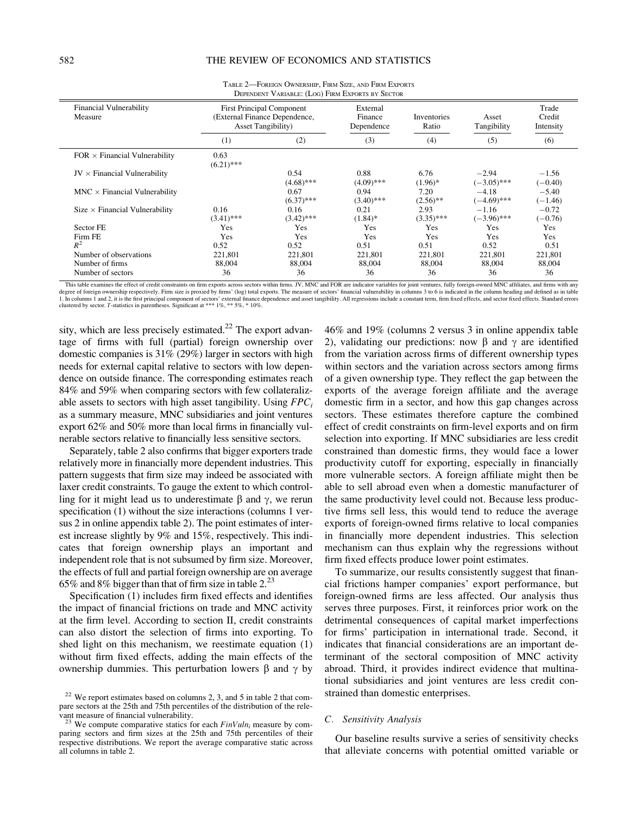|                                           |                                                                                                 | $\frac{1}{2}$        |                                                           |                      |                          |                              |  |
|-------------------------------------------|-------------------------------------------------------------------------------------------------|----------------------|-----------------------------------------------------------|----------------------|--------------------------|------------------------------|--|
| <b>Financial Vulnerability</b><br>Measure | <b>First Principal Component</b><br>(External Finance Dependence,<br><b>Asset Tangibility</b> ) |                      | External<br>Finance<br>Inventories<br>Ratio<br>Dependence |                      | Asset<br>Tangibility     | Trade<br>Credit<br>Intensity |  |
|                                           | (1)                                                                                             | (2)                  | (3)                                                       | (4)                  | (5)                      | (6)                          |  |
| $FOR \times Financial$ Vulnerability      | 0.63<br>$(6.21)$ ***                                                                            |                      |                                                           |                      |                          |                              |  |
| $JV \times$ Financial Vulnerability       |                                                                                                 | 0.54<br>$(4.68)$ *** | 0.88<br>$(4.09)$ ***                                      | 6.76<br>$(1.96)*$    | $-2.94$<br>$(-3.05)$ *** | $-1.56$<br>$(-0.40)$         |  |
| $MNC \times Financial$ Vulnerability      |                                                                                                 | 0.67<br>$(6.37)$ *** | 0.94<br>$(3.40)$ ***                                      | 7.20<br>$(2.56)$ **  | $-4.18$<br>$(-4.69)$ *** | $-5.40$<br>$(-1.46)$         |  |
| Size $\times$ Financial Vulnerability     | 0.16<br>$(3.41)$ ***                                                                            | 0.16<br>$(3.42)$ *** | 0.21<br>$(1.84)$ *                                        | 2.93<br>$(3.35)$ *** | $-1.16$<br>$(-3.96)$ *** | $-0.72$<br>$(-0.76)$         |  |
| Sector FE                                 | Yes                                                                                             | Yes                  | Yes                                                       | Yes                  | Yes                      | Yes                          |  |
| Firm FE                                   | Yes                                                                                             | Yes                  | Yes                                                       | Yes                  | Yes                      | Yes                          |  |
| $R^2$                                     | 0.52                                                                                            | 0.52                 | 0.51                                                      | 0.51                 | 0.52                     | 0.51                         |  |
| Number of observations                    | 221,801                                                                                         | 221,801              | 221,801                                                   | 221,801              | 221,801                  | 221,801                      |  |
| Number of firms                           | 88,004                                                                                          | 88,004               | 88,004                                                    | 88,004               | 88,004                   | 88,004                       |  |
| Number of sectors                         | 36                                                                                              | 36                   | 36                                                        | 36                   | 36                       | 36                           |  |

TABLE 2—FOREIGN OWNERSHIP, FIRM SIZE, AND FIRM EXPORTS DEPENDENT VARIABLE: (LOG) FIRM EXPORTS BY SECTOR

This table examines the effect of credit constraints on firm exports across sectors within firms. JV, MNC and FOR are indicator variables for joint ventures, fully foreign-owned MNC affiliates, and firms with any degree of foreign ownership respectively. Firm size is proxied by firms' (log) total exports. The measure of sectors' financial vulnerability in columns 3 to 6 is indicated in the column heading and defined as in table 1. In columns 1 and 2, it is the first principal component of sectors' external finance dependence and asset tangibility. All regressions include a constant term, firm fixed effects, and sector fixed effects. Standard errors clustered by sector. T-statistics in parentheses. Significant at \*\*\* 1%, \*\* 5%, \* 10%.

sity, which are less precisely estimated. $22$  The export advantage of firms with full (partial) foreign ownership over domestic companies is 31% (29%) larger in sectors with high needs for external capital relative to sectors with low dependence on outside finance. The corresponding estimates reach 84% and 59% when comparing sectors with few collateralizable assets to sectors with high asset tangibility. Using  $FPC<sub>i</sub>$ as a summary measure, MNC subsidiaries and joint ventures export 62% and 50% more than local firms in financially vulnerable sectors relative to financially less sensitive sectors.

Separately, table 2 also confirms that bigger exporters trade relatively more in financially more dependent industries. This pattern suggests that firm size may indeed be associated with laxer credit constraints. To gauge the extent to which controlling for it might lead us to underestimate  $\beta$  and  $\gamma$ , we rerun specification (1) without the size interactions (columns 1 versus 2 in online appendix table 2). The point estimates of interest increase slightly by 9% and 15%, respectively. This indicates that foreign ownership plays an important and independent role that is not subsumed by firm size. Moreover, the effects of full and partial foreign ownership are on average 65% and 8% bigger than that of firm size in table  $2^{23}$ 

Specification (1) includes firm fixed effects and identifies the impact of financial frictions on trade and MNC activity at the firm level. According to section II, credit constraints can also distort the selection of firms into exporting. To shed light on this mechanism, we reestimate equation (1) without firm fixed effects, adding the main effects of the ownership dummies. This perturbation lowers  $\beta$  and  $\gamma$  by 46% and 19% (columns 2 versus 3 in online appendix table 2), validating our predictions: now  $\beta$  and  $\gamma$  are identified from the variation across firms of different ownership types within sectors and the variation across sectors among firms of a given ownership type. They reflect the gap between the exports of the average foreign affiliate and the average domestic firm in a sector, and how this gap changes across sectors. These estimates therefore capture the combined effect of credit constraints on firm-level exports and on firm selection into exporting. If MNC subsidiaries are less credit constrained than domestic firms, they would face a lower productivity cutoff for exporting, especially in financially more vulnerable sectors. A foreign affiliate might then be able to sell abroad even when a domestic manufacturer of the same productivity level could not. Because less productive firms sell less, this would tend to reduce the average exports of foreign-owned firms relative to local companies in financially more dependent industries. This selection mechanism can thus explain why the regressions without firm fixed effects produce lower point estimates.

To summarize, our results consistently suggest that financial frictions hamper companies' export performance, but foreign-owned firms are less affected. Our analysis thus serves three purposes. First, it reinforces prior work on the detrimental consequences of capital market imperfections for firms' participation in international trade. Second, it indicates that financial considerations are an important determinant of the sectoral composition of MNC activity abroad. Third, it provides indirect evidence that multinational subsidiaries and joint ventures are less credit constrained than domestic enterprises.

## C. Sensitivity Analysis

Our baseline results survive a series of sensitivity checks that alleviate concerns with potential omitted variable or

 $22$  We report estimates based on columns 2, 3, and 5 in table 2 that compare sectors at the 25th and 75th percentiles of the distribution of the rele-

<sup>&</sup>lt;sup>23</sup> We compute comparative statics for each  $FinVuh_i$  measure by comparing sectors and firm sizes at the 25th and 75th percentiles of their respective distributions. We report the average comparative static across all columns in table 2.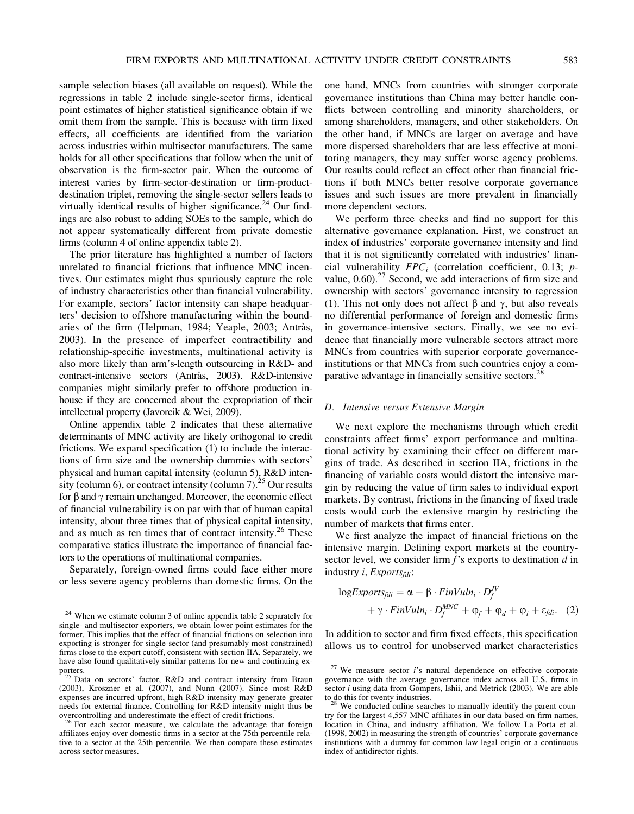sample selection biases (all available on request). While the regressions in table 2 include single-sector firms, identical point estimates of higher statistical significance obtain if we omit them from the sample. This is because with firm fixed effects, all coefficients are identified from the variation across industries within multisector manufacturers. The same holds for all other specifications that follow when the unit of observation is the firm-sector pair. When the outcome of interest varies by firm-sector-destination or firm-productdestination triplet, removing the single-sector sellers leads to virtually identical results of higher significance.<sup>24</sup> Our findings are also robust to adding SOEs to the sample, which do not appear systematically different from private domestic firms (column 4 of online appendix table 2).

The prior literature has highlighted a number of factors unrelated to financial frictions that influence MNC incentives. Our estimates might thus spuriously capture the role of industry characteristics other than financial vulnerability. For example, sectors' factor intensity can shape headquarters' decision to offshore manufacturing within the boundaries of the firm (Helpman, 1984; Yeaple, 2003; Antràs, 2003). In the presence of imperfect contractibility and relationship-specific investments, multinational activity is also more likely than arm's-length outsourcing in R&D- and contract-intensive sectors (Antràs, 2003). R&D-intensive companies might similarly prefer to offshore production inhouse if they are concerned about the expropriation of their intellectual property (Javorcik & Wei, 2009).

Online appendix table 2 indicates that these alternative determinants of MNC activity are likely orthogonal to credit frictions. We expand specification (1) to include the interactions of firm size and the ownership dummies with sectors' physical and human capital intensity (column 5), R&D intensity (column 6), or contract intensity (column 7).<sup>25</sup> Our results for  $\beta$  and  $\gamma$  remain unchanged. Moreover, the economic effect of financial vulnerability is on par with that of human capital intensity, about three times that of physical capital intensity, and as much as ten times that of contract intensity.<sup>26</sup> These comparative statics illustrate the importance of financial factors to the operations of multinational companies.

Separately, foreign-owned firms could face either more or less severe agency problems than domestic firms. On the one hand, MNCs from countries with stronger corporate governance institutions than China may better handle conflicts between controlling and minority shareholders, or among shareholders, managers, and other stakeholders. On the other hand, if MNCs are larger on average and have more dispersed shareholders that are less effective at monitoring managers, they may suffer worse agency problems. Our results could reflect an effect other than financial frictions if both MNCs better resolve corporate governance issues and such issues are more prevalent in financially more dependent sectors.

We perform three checks and find no support for this alternative governance explanation. First, we construct an index of industries' corporate governance intensity and find that it is not significantly correlated with industries' financial vulnerability  $FPC<sub>i</sub>$  (correlation coefficient, 0.13; pvalue,  $0.60$ ).<sup>27</sup> Second, we add interactions of firm size and ownership with sectors' governance intensity to regression (1). This not only does not affect  $\beta$  and  $\gamma$ , but also reveals no differential performance of foreign and domestic firms in governance-intensive sectors. Finally, we see no evidence that financially more vulnerable sectors attract more MNCs from countries with superior corporate governanceinstitutions or that MNCs from such countries enjoy a comparative advantage in financially sensitive sectors.<sup>28</sup>

## D. Intensive versus Extensive Margin

We next explore the mechanisms through which credit constraints affect firms' export performance and multinational activity by examining their effect on different margins of trade. As described in section IIA, frictions in the financing of variable costs would distort the intensive margin by reducing the value of firm sales to individual export markets. By contrast, frictions in the financing of fixed trade costs would curb the extensive margin by restricting the number of markets that firms enter.

We first analyze the impact of financial frictions on the intensive margin. Defining export markets at the countrysector level, we consider firm  $f$ 's exports to destination  $d$  in industry  $i$ , Exports $_{fdi}$ :

$$
logExpress_{fdi} = \alpha + \beta \cdot FinVuln_i \cdot D_f^{\text{IV}} + \gamma \cdot FinVuln_i \cdot D_f^{\text{ANC}} + \varphi_f + \varphi_d + \varphi_i + \varepsilon_{fdi}. \tag{2}
$$

In addition to sector and firm fixed effects, this specification allows us to control for unobserved market characteristics

<sup>&</sup>lt;sup>24</sup> When we estimate column 3 of online appendix table 2 separately for single- and multisector exporters, we obtain lower point estimates for the former. This implies that the effect of financial frictions on selection into exporting is stronger for single-sector (and presumably most constrained) firms close to the export cutoff, consistent with section IIA. Separately, we have also found qualitatively similar patterns for new and continuing ex-

porters.<br><sup>25</sup> Data on sectors' factor, R&D and contract intensity from Braun<br>2007). Since most R&D (2003), Kroszner et al. (2007), and Nunn (2007). Since most R&D expenses are incurred upfront, high R&D intensity may generate greater needs for external finance. Controlling for R&D intensity might thus be overcontrolling and underestimate the effect of credit frictions.<br><sup>26</sup> For each sector measure, we calculate the advantage that foreign

affiliates enjoy over domestic firms in a sector at the 75th percentile relative to a sector at the 25th percentile. We then compare these estimates across sector measures.

 $27$  We measure sector *i*'s natural dependence on effective corporate governance with the average governance index across all U.S. firms in sector  $i$  using data from Gompers, Ishii, and Metrick (2003). We are able to do this for twenty industries.

We conducted online searches to manually identify the parent country for the largest 4,557 MNC affiliates in our data based on firm names, location in China, and industry affiliation. We follow La Porta et al. (1998, 2002) in measuring the strength of countries' corporate governance institutions with a dummy for common law legal origin or a continuous index of antidirector rights.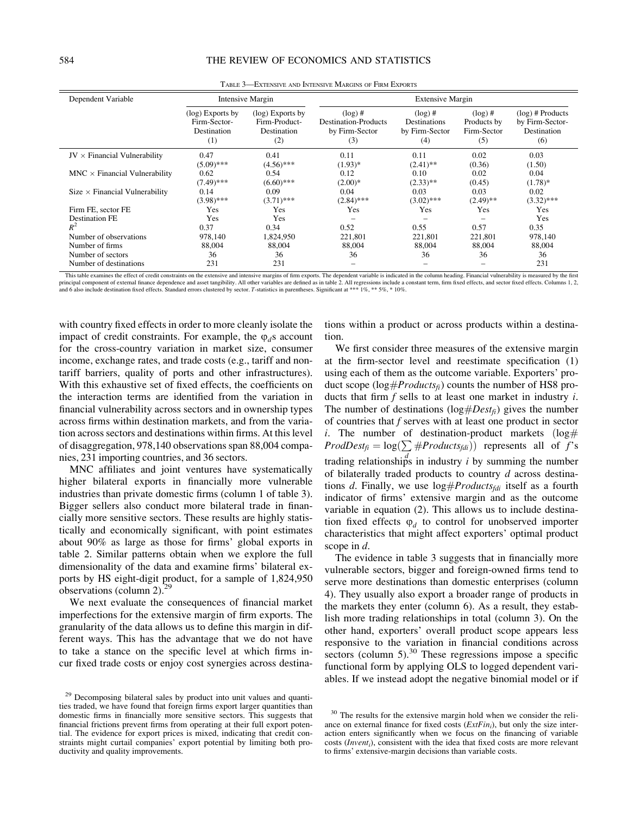| Dependent Variable                    | Intensive Margin                                       |                                                         | <b>Extensive Margin</b>                                     |                                                     |                                                 |                                                             |  |
|---------------------------------------|--------------------------------------------------------|---------------------------------------------------------|-------------------------------------------------------------|-----------------------------------------------------|-------------------------------------------------|-------------------------------------------------------------|--|
|                                       | (log) Exports by<br>Firm-Sector-<br>Destination<br>(1) | (log) Exports by<br>Firm-Product-<br>Destination<br>(2) | $(\log)$ #<br>Destination-Products<br>by Firm-Sector<br>(3) | $(\log)$ #<br>Destinations<br>by Firm-Sector<br>(4) | $(\log)$ #<br>Products by<br>Firm-Sector<br>(5) | $(log)$ # Products<br>by Firm-Sector-<br>Destination<br>(6) |  |
| $JV \times$ Financial Vulnerability   | 0.47<br>$(5.09)$ ***                                   | 0.41<br>$(4.56)$ ***                                    | 0.11<br>$(1.93)*$                                           | 0.11<br>$(2.41)$ **                                 | 0.02<br>(0.36)                                  | 0.03<br>(1.50)                                              |  |
| $MNC \times Financial$ Vulnerability  | 0.62<br>$(7.49)$ ***                                   | 0.54<br>$(6.60)$ ***                                    | 0.12<br>$(2.00)*$                                           | 0.10<br>$(2.33)$ **                                 | 0.02<br>(0.45)                                  | 0.04<br>$(1.78)$ *                                          |  |
| $Size \times Financial$ Vulnerability | 0.14<br>$(3.98)$ ***                                   | 0.09<br>$(3.71)$ ***                                    | 0.04<br>$(2.84)$ ***                                        | 0.03<br>$(3.02)$ ***                                | 0.03<br>$(2.49)$ **                             | 0.02<br>$(3.32)$ ***                                        |  |
| Firm FE, sector FE                    | Yes                                                    | Yes                                                     | Yes                                                         | Yes                                                 | Yes                                             | Yes                                                         |  |
| <b>Destination FE</b><br>$R^2$        | Yes<br>0.37                                            | Yes<br>0.34                                             | 0.52                                                        | 0.55                                                | 0.57                                            | Yes<br>0.35                                                 |  |
| Number of observations                | 978.140                                                | 1,824,950                                               | 221,801                                                     | 221,801                                             | 221,801                                         | 978,140                                                     |  |
| Number of firms                       | 88,004                                                 | 88,004                                                  | 88,004                                                      | 88,004                                              | 88,004                                          | 88,004                                                      |  |
| Number of sectors                     | 36                                                     | 36                                                      | 36                                                          | 36                                                  | 36                                              | 36                                                          |  |
| Number of destinations                | 231                                                    | 231                                                     | $\qquad \qquad$                                             |                                                     |                                                 | 231                                                         |  |

TABLE 3—EXTENSIVE AND INTENSIVE MARGINS OF FIRM EXPORTS

This table examines the effect of credit constraints on the extensive and intensive margins of firm exports. The dependent variable is indicated in the column heading. Financial vulnerability is measured by the first principal component of external finance dependence and asset tangibility. All other variables are defined as in table 2. All regressions include a constant term, firm fixed effects, and sector fixed effects. Columns 1, 2, and 6 also include destination fixed effects. Standard errors clustered by sector. T-statistics in parentheses. Significant at \*\*\* 1%, \*\* 5%, \* 10%.

with country fixed effects in order to more cleanly isolate the impact of credit constraints. For example, the  $\varphi_d$ s account for the cross-country variation in market size, consumer income, exchange rates, and trade costs (e.g., tariff and nontariff barriers, quality of ports and other infrastructures). With this exhaustive set of fixed effects, the coefficients on the interaction terms are identified from the variation in financial vulnerability across sectors and in ownership types across firms within destination markets, and from the variation across sectors and destinations within firms. At this level of disaggregation, 978,140 observations span 88,004 companies, 231 importing countries, and 36 sectors.

MNC affiliates and joint ventures have systematically higher bilateral exports in financially more vulnerable industries than private domestic firms (column 1 of table 3). Bigger sellers also conduct more bilateral trade in financially more sensitive sectors. These results are highly statistically and economically significant, with point estimates about 90% as large as those for firms' global exports in table 2. Similar patterns obtain when we explore the full dimensionality of the data and examine firms' bilateral exports by HS eight-digit product, for a sample of 1,824,950 observations (column 2).<sup>29</sup>

We next evaluate the consequences of financial market imperfections for the extensive margin of firm exports. The granularity of the data allows us to define this margin in different ways. This has the advantage that we do not have to take a stance on the specific level at which firms incur fixed trade costs or enjoy cost synergies across destina-

tions within a product or across products within a destination.

We first consider three measures of the extensive margin at the firm-sector level and reestimate specification (1) using each of them as the outcome variable. Exporters' product scope ( $log\#Products_{fi}$ ) counts the number of HS8 products that firm  $f$  sells to at least one market in industry  $i$ . The number of destinations ( $log\#Dest_{fi}$ ) gives the number of countries that f serves with at least one product in sector i. The number of destination-product markets  $(\log \#)$ ProdDest<sub>fi</sub> =  $log(\sum \# Products_{fdi})$  represents all of *f*'s trading relationships in industry *i* by summing the number of bilaterally traded products to country  $d$  across destinations d. Finally, we use  $log#Products_{fdi}$  itself as a fourth indicator of firms' extensive margin and as the outcome variable in equation (2). This allows us to include destination fixed effects  $\varphi_d$  to control for unobserved importer characteristics that might affect exporters' optimal product scope in d.

The evidence in table 3 suggests that in financially more vulnerable sectors, bigger and foreign-owned firms tend to serve more destinations than domestic enterprises (column 4). They usually also export a broader range of products in the markets they enter (column 6). As a result, they establish more trading relationships in total (column 3). On the other hand, exporters' overall product scope appears less responsive to the variation in financial conditions across sectors (column  $5$ ).<sup>30</sup> These regressions impose a specific functional form by applying OLS to logged dependent variables. If we instead adopt the negative binomial model or if

<sup>&</sup>lt;sup>29</sup> Decomposing bilateral sales by product into unit values and quantities traded, we have found that foreign firms export larger quantities than domestic firms in financially more sensitive sectors. This suggests that financial frictions prevent firms from operating at their full export potential. The evidence for export prices is mixed, indicating that credit constraints might curtail companies' export potential by limiting both productivity and quality improvements.

<sup>&</sup>lt;sup>30</sup> The results for the extensive margin hold when we consider the reliance on external finance for fixed costs  $(ExtFin_i)$ , but only the size interaction enters significantly when we focus on the financing of variable  $costs$  (*Invent<sub>i</sub>*), consistent with the idea that fixed costs are more relevant to firms' extensive-margin decisions than variable costs.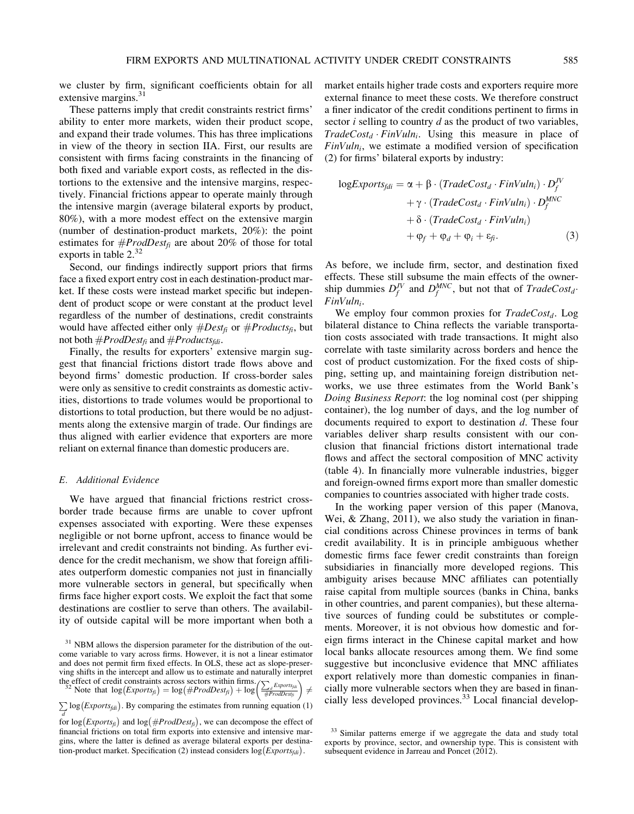we cluster by firm, significant coefficients obtain for all extensive margins. $31$ 

These patterns imply that credit constraints restrict firms' ability to enter more markets, widen their product scope, and expand their trade volumes. This has three implications in view of the theory in section IIA. First, our results are consistent with firms facing constraints in the financing of both fixed and variable export costs, as reflected in the distortions to the extensive and the intensive margins, respectively. Financial frictions appear to operate mainly through the intensive margin (average bilateral exports by product, 80%), with a more modest effect on the extensive margin (number of destination-product markets, 20%): the point estimates for  $#ProdDest_{fi}$  are about 20% of those for total exports in table  $2^{32}$ 

Second, our findings indirectly support priors that firms face a fixed export entry cost in each destination-product market. If these costs were instead market specific but independent of product scope or were constant at the product level regardless of the number of destinations, credit constraints would have affected either only  $\#Dest_{fi}$  or  $\#Products_{fi}$ , but not both  $\#ProdDest_{fi}$  and  $\#Products_{fdi}$ .

Finally, the results for exporters' extensive margin suggest that financial frictions distort trade flows above and beyond firms' domestic production. If cross-border sales were only as sensitive to credit constraints as domestic activities, distortions to trade volumes would be proportional to distortions to total production, but there would be no adjustments along the extensive margin of trade. Our findings are thus aligned with earlier evidence that exporters are more reliant on external finance than domestic producers are.

## E. Additional Evidence

We have argued that financial frictions restrict crossborder trade because firms are unable to cover upfront expenses associated with exporting. Were these expenses negligible or not borne upfront, access to finance would be irrelevant and credit constraints not binding. As further evidence for the credit mechanism, we show that foreign affiliates outperform domestic companies not just in financially more vulnerable sectors in general, but specifically when firms face higher export costs. We exploit the fact that some destinations are costlier to serve than others. The availability of outside capital will be more important when both a

 $\frac{1}{\left(\frac{\sum_{d} Exports_{fdi}}{\#ProdDest_{fi}}\right)} \neq$ 

market entails higher trade costs and exporters require more external finance to meet these costs. We therefore construct a finer indicator of the credit conditions pertinent to firms in sector  $i$  selling to country  $d$  as the product of two variables,  $TradeCost_d \cdot FinVuln_i$ . Using this measure in place of  $FinVuh_i$ , we estimate a modified version of specification (2) for firms' bilateral exports by industry:

$$
logExpress_{fdi} = \alpha + \beta \cdot (TradeCost_d \cdot FinVuln_i) \cdot D_f^{\text{IV}} + \gamma \cdot (TradeCost_d \cdot FinVuln_i) \cdot D_f^{\text{MNC}} + \delta \cdot (TradeCost_d \cdot FinVuln_i) + \varphi_f + \varphi_d + \varphi_i + \varepsilon_{fi}. \tag{3}
$$

As before, we include firm, sector, and destination fixed effects. These still subsume the main effects of the ownership dummies  $D_f^{\text{IV}}$  and  $D_f^{\text{MNC}}$ , but not that of  $\text{TradeCost}_d$ . FinVuln<sub>i</sub>.

We employ four common proxies for  $TradeCost_d$ . Log bilateral distance to China reflects the variable transportation costs associated with trade transactions. It might also correlate with taste similarity across borders and hence the cost of product customization. For the fixed costs of shipping, setting up, and maintaining foreign distribution networks, we use three estimates from the World Bank's Doing Business Report: the log nominal cost (per shipping container), the log number of days, and the log number of documents required to export to destination d. These four variables deliver sharp results consistent with our conclusion that financial frictions distort international trade flows and affect the sectoral composition of MNC activity (table 4). In financially more vulnerable industries, bigger and foreign-owned firms export more than smaller domestic companies to countries associated with higher trade costs.

In the working paper version of this paper (Manova, Wei, & Zhang, 2011), we also study the variation in financial conditions across Chinese provinces in terms of bank credit availability. It is in principle ambiguous whether domestic firms face fewer credit constraints than foreign subsidiaries in financially more developed regions. This ambiguity arises because MNC affiliates can potentially raise capital from multiple sources (banks in China, banks in other countries, and parent companies), but these alternative sources of funding could be substitutes or complements. Moreover, it is not obvious how domestic and foreign firms interact in the Chinese capital market and how local banks allocate resources among them. We find some suggestive but inconclusive evidence that MNC affiliates export relatively more than domestic companies in financially more vulnerable sectors when they are based in financially less developed provinces.<sup>33</sup> Local financial develop-

 $31$  NBM allows the dispersion parameter for the distribution of the outcome variable to vary across firms. However, it is not a linear estimator and does not permit firm fixed effects. In OLS, these act as slope-preserving shifts in the intercept and allow us to estimate and naturally interpret the effect of credit constraints across sectors within firms.<br><sup>32</sup> Note that  $log(Exports_{\bar{f}}) = log(#ProdDest_{\bar{f}}) + log$ 

 $\sum$ log (*Exports<sub>fdi</sub>*). By comparing the estimates from running equation (1) d

 $\int_a^d$  for log(*Exports<sub>fi</sub>*) and log(*#ProdDest<sub>fi</sub>*), we can decompose the effect of financial frictions on total firm exports into extensive and intensive margins, where the latter is defined as average bilateral exports per destination-product market. Specification (2) instead considers  $log (Exports<sub>fdi</sub>)$ .

<sup>&</sup>lt;sup>33</sup> Similar patterns emerge if we aggregate the data and study total exports by province, sector, and ownership type. This is consistent with subsequent evidence in Jarreau and Poncet (2012).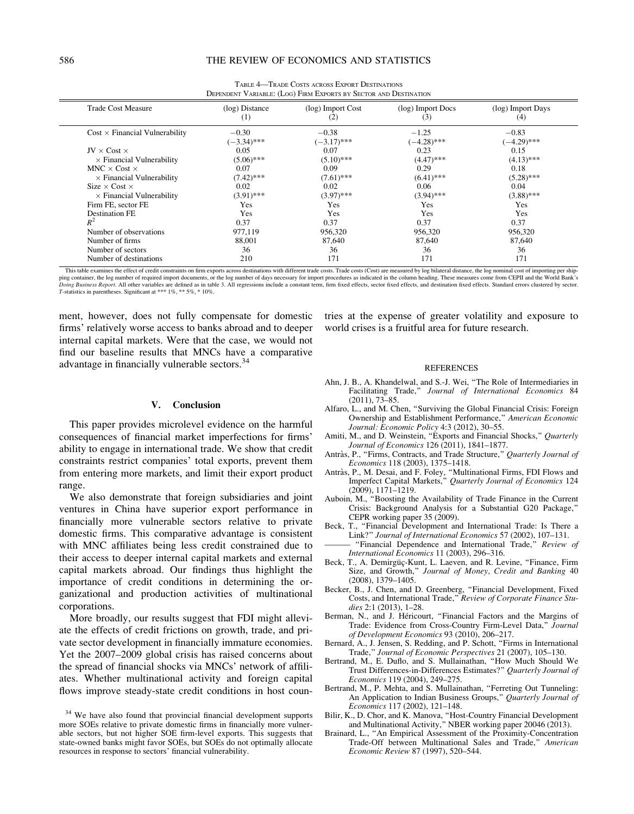| <b>Trade Cost Measure</b>             | $(log)$ Distance<br>(1)  | (log) Import Cost<br>(2) | (log) Import Docs<br>(3) | (log) Import Days<br>(4) |
|---------------------------------------|--------------------------|--------------------------|--------------------------|--------------------------|
| $Cost \times Financial$ Vulnerability | $-0.30$<br>$(-3.34)$ *** | $-0.38$<br>$(-3.17)$ *** | $-1.25$<br>$(-4.28)$ *** | $-0.83$<br>$(-4.29)$ *** |
| $JV \times Cost \times$               | 0.05                     | 0.07                     | 0.23                     | 0.15                     |
| $\times$ Financial Vulnerability      | $(5.06)$ ***             | $(5.10)$ ***             | $(4.47)$ ***             | $(4.13)$ ***             |
| $MNC \times Cost \times$              | 0.07                     | 0.09                     | 0.29                     | 0.18                     |
| $\times$ Financial Vulnerability      | $(7.42)$ ***             | $(7.61)$ ***             | $(6.41)$ ***             | $(5.28)$ ***             |
| Size $\times$ Cost $\times$           | 0.02                     | 0.02                     | 0.06                     | 0.04                     |
| $\times$ Financial Vulnerability      | $(3.91)$ ***             | $(3.97)$ ***             | $(3.94)$ ***             | $(3.88)$ ***             |
| Firm FE, sector FE                    | Yes                      | Yes                      | Yes                      | Yes                      |
| <b>Destination FE</b>                 | Yes                      | Yes                      | Yes                      | Yes                      |
| $R^2$                                 | 0.37                     | 0.37                     | 0.37                     | 0.37                     |
| Number of observations                | 977,119                  | 956,320                  | 956,320                  | 956,320                  |
| Number of firms                       | 88,001                   | 87,640                   | 87,640                   | 87,640                   |
| Number of sectors                     | 36                       | 36                       | 36                       | 36                       |
| Number of destinations                | 210                      | 171                      | 171                      | 171                      |

TABLE 4—TRADE COSTS ACROSS EXPORT DESTINATIONS DEPENDENT VARIABLE: (LOG) FIRM EXPORTS BY SECTOR AND DESTINATION

This table examines the effect of credit constraints on firm exports across destinations with different trade costs. Trade costs (Cost) are measured by log bilateral distance, the log nominal cost of importing per shipping container, the log number of required import documents, or the log number of days necessary for import procedures as indicated in the column heading. These measures come from CEPII and the World Bank's Doing Business Report. All other variables are defined as in table 3. All regressions include a constant term, firm fixed effects, sector fixed effects, and destination fixed effects. Standard errors clustered by sector. T-statistics in parentheses. Significant at \*\*\* 1%, \*\* 5%, \* 10%.

ment, however, does not fully compensate for domestic firms' relatively worse access to banks abroad and to deeper internal capital markets. Were that the case, we would not find our baseline results that MNCs have a comparative advantage in financially vulnerable sectors.<sup>34</sup>

## V. Conclusion

This paper provides microlevel evidence on the harmful consequences of financial market imperfections for firms' ability to engage in international trade. We show that credit constraints restrict companies' total exports, prevent them from entering more markets, and limit their export product range.

We also demonstrate that foreign subsidiaries and joint ventures in China have superior export performance in financially more vulnerable sectors relative to private domestic firms. This comparative advantage is consistent with MNC affiliates being less credit constrained due to their access to deeper internal capital markets and external capital markets abroad. Our findings thus highlight the importance of credit conditions in determining the organizational and production activities of multinational corporations.

More broadly, our results suggest that FDI might alleviate the effects of credit frictions on growth, trade, and private sector development in financially immature economies. Yet the 2007–2009 global crisis has raised concerns about the spread of financial shocks via MNCs' network of affiliates. Whether multinational activity and foreign capital flows improve steady-state credit conditions in host countries at the expense of greater volatility and exposure to world crises is a fruitful area for future research.

#### REFERENCES

- Ahn, J. B., A. Khandelwal, and S.-J. Wei, ''The Role of Intermediaries in Facilitating Trade,'' Journal of International Economics 84 (2011), 73–85.
- Alfaro, L., and M. Chen, ''Surviving the Global Financial Crisis: Foreign Ownership and Establishment Performance,'' American Economic Journal: Economic Policy 4:3 (2012), 30–55.
- Amiti, M., and D. Weinstein, "Exports and Financial Shocks," Quarterly Journal of Economics 126 (2011), 1841–1877.
- Antràs, P., "Firms, Contracts, and Trade Structure," Quarterly Journal of Economics 118 (2003), 1375–1418.
- Antràs, P., M. Desai, and F. Foley, "Multinational Firms, FDI Flows and Imperfect Capital Markets,'' Quarterly Journal of Economics 124 (2009), 1171–1219.
- Auboin, M., ''Boosting the Availability of Trade Finance in the Current Crisis: Background Analysis for a Substantial G20 Package,'' CEPR working paper 35 (2009).
- Beck, T., "Financial Development and International Trade: Is There a Link?'' Journal of International Economics 57 (2002), 107–131.
- "Financial Dependence and International Trade," Review of International Economics 11 (2003), 296–316.
- Beck, T., A. Demirgüç-Kunt, L. Laeven, and R. Levine, "Finance, Firm Size, and Growth," Journal of Money, Credit and Banking 40 (2008), 1379–1405.
- Becker, B., J. Chen, and D. Greenberg, ''Financial Development, Fixed Costs, and International Trade,'' Review of Corporate Finance Studies 2:1 (2013), 1–28.
- Berman, N., and J. Héricourt, "Financial Factors and the Margins of Trade: Evidence from Cross-Country Firm-Level Data," Journal of Development Economics 93 (2010), 206–217.
- Bernard, A., J. Jensen, S. Redding, and P. Schott, "Firms in International Trade,'' Journal of Economic Perspectives 21 (2007), 105–130.
- Bertrand, M., E. Duflo, and S. Mullainathan, ''How Much Should We Trust Differences-in-Differences Estimates?'' Quarterly Journal of Economics 119 (2004), 249–275.
- Bertrand, M., P. Mehta, and S. Mullainathan, "Ferreting Out Tunneling: An Application to Indian Business Groups," Quarterly Journal of Economics 117 (2002), 121–148.
- Bilir, K., D. Chor, and K. Manova, ''Host-Country Financial Development and Multinational Activity,'' NBER working paper 20046 (2013).
- Brainard, L., ''An Empirical Assessment of the Proximity-Concentration Trade-Off between Multinational Sales and Trade,'' American Economic Review 87 (1997), 520–544.

<sup>&</sup>lt;sup>34</sup> We have also found that provincial financial development supports more SOEs relative to private domestic firms in financially more vulnerable sectors, but not higher SOE firm-level exports. This suggests that state-owned banks might favor SOEs, but SOEs do not optimally allocate resources in response to sectors' financial vulnerability.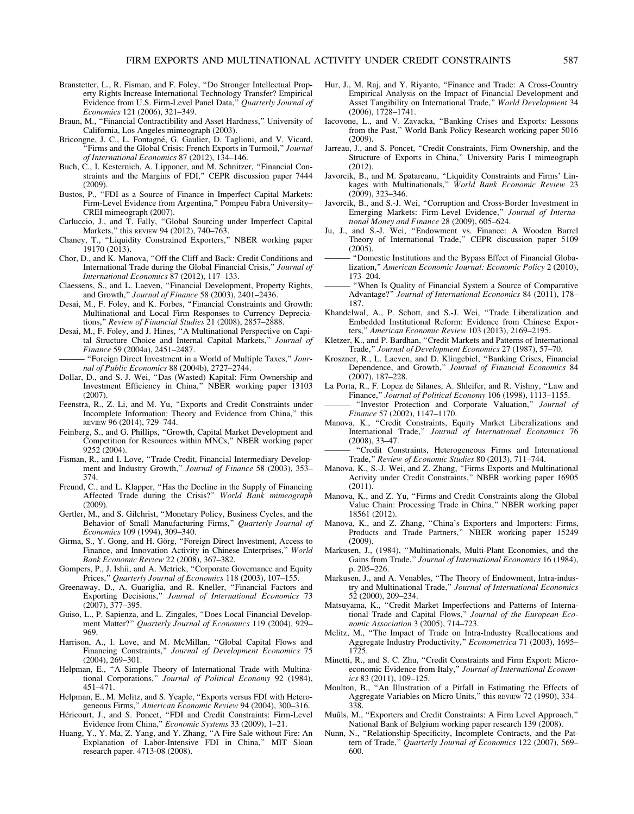- Branstetter, L., R. Fisman, and F. Foley, ''Do Stronger Intellectual Property Rights Increase International Technology Transfer? Empirical Evidence from U.S. Firm-Level Panel Data," Quarterly Journal of Economics 121 (2006), 321–349.
- Braun, M., "Financial Contractibility and Asset Hardness," University of California, Los Angeles mimeograph (2003).
- Bricongne, J. C., L. Fontagné, G. Gaulier, D. Taglioni, and V. Vicard, 'Firms and the Global Crisis: French Exports in Turmoil," Journal of International Economics 87 (2012), 134–146.
- Buch, C., I. Kesternich, A. Lipponer, and M. Schnitzer, ''Financial Constraints and the Margins of FDI,'' CEPR discussion paper 7444 (2009).
- Bustos, P., ''FDI as a Source of Finance in Imperfect Capital Markets: Firm-Level Evidence from Argentina," Pompeu Fabra University-CREI mimeograph (2007).
- Carluccio, J., and T. Fally, ''Global Sourcing under Imperfect Capital Markets," this REVIEW 94 (2012), 740-763.
- Chaney, T., ''Liquidity Constrained Exporters,'' NBER working paper 19170 (2013).
- Chor, D., and K. Manova, ''Off the Cliff and Back: Credit Conditions and International Trade during the Global Financial Crisis,'' Journal of International Economics 87 (2012), 117–133.
- Claessens, S., and L. Laeven, ''Financial Development, Property Rights, and Growth,'' Journal of Finance 58 (2003), 2401–2436.
- Desai, M., F. Foley, and K. Forbes, "Financial Constraints and Growth: Multinational and Local Firm Responses to Currency Depreciations,'' Review of Financial Studies 21 (2008), 2857–2888.
- Desai, M., F. Foley, and J. Hines, ''A Multinational Perspective on Capital Structure Choice and Internal Capital Markets," Journal of Finance 59 (2004a), 2451–2487.
	- "Foreign Direct Investment in a World of Multiple Taxes," Journal of Public Economics 88 (2004b), 2727–2744.
- Dollar, D., and S.-J. Wei, ''Das (Wasted) Kapital: Firm Ownership and Investment Efficiency in China,'' NBER working paper 13103 (2007).
- Feenstra, R., Z. Li, and M. Yu, "Exports and Credit Constraints under Incomplete Information: Theory and Evidence from China," this REVIEW 96 (2014), 729–744.
- Feinberg, S., and G. Phillips, ''Growth, Capital Market Development and Competition for Resources within MNCs,'' NBER working paper 9252 (2004).
- Fisman, R., and I. Love, "Trade Credit, Financial Intermediary Development and Industry Growth," Journal of Finance 58 (2003), 353-374.
- Freund, C., and L. Klapper, "Has the Decline in the Supply of Financing Affected Trade during the Crisis?'' World Bank mimeograph (2009).
- Gertler, M., and S. Gilchrist, ''Monetary Policy, Business Cycles, and the Behavior of Small Manufacturing Firms," Quarterly Journal of Economics 109 (1994), 309–340.
- Girma, S., Y. Gong, and H. Görg, "Foreign Direct Investment, Access to Finance, and Innovation Activity in Chinese Enterprises," World Bank Economic Review 22 (2008), 367–382.
- Gompers, P., J. Ishii, and A. Metrick, ''Corporate Governance and Equity Prices," Quarterly Journal of Economics 118 (2003), 107-155.
- Greenaway, D., A. Guariglia, and R. Kneller, ''Financial Factors and Exporting Decisions," Journal of International Economics 73 (2007), 377–395.
- Guiso, L., P. Sapienza, and L. Zingales, ''Does Local Financial Development Matter?" Quarterly Journal of Economics 119 (2004), 929-969.
- Harrison, A., I. Love, and M. McMillan, "Global Capital Flows and Financing Constraints,'' Journal of Development Economics 75 (2004), 269–301.
- Helpman, E., "A Simple Theory of International Trade with Multinational Corporations,'' Journal of Political Economy 92 (1984), 451–471.
- Helpman, E., M. Melitz, and S. Yeaple, "Exports versus FDI with Heterogeneous Firms,'' American Economic Review 94 (2004), 300–316.
- Héricourt, J., and S. Poncet, "FDI and Credit Constraints: Firm-Level Evidence from China," Economic Systems 33 (2009), 1-21.
- Huang, Y., Y. Ma, Z. Yang, and Y. Zhang, ''A Fire Sale without Fire: An Explanation of Labor-Intensive FDI in China," MIT Sloan research paper. 4713-08 (2008).
- Hur, J., M. Raj, and Y. Riyanto, "Finance and Trade: A Cross-Country Empirical Analysis on the Impact of Financial Development and Asset Tangibility on International Trade," World Development 34 (2006), 1728–1741.
- Iacovone, L., and V. Zavacka, ''Banking Crises and Exports: Lessons from the Past,'' World Bank Policy Research working paper 5016 (2009).
- Jarreau, J., and S. Poncet, "Credit Constraints, Firm Ownership, and the Structure of Exports in China,'' University Paris I mimeograph (2012).
- Javorcik, B., and M. Spatareanu, ''Liquidity Constraints and Firms' Linkages with Multinationals,'' World Bank Economic Review 23 (2009), 323–346.
- Javorcik, B., and S.-J. Wei, ''Corruption and Cross-Border Investment in Emerging Markets: Firm-Level Evidence," Journal of International Money and Finance 28 (2009), 605–624.
- Ju, J., and S.-J. Wei, ''Endowment vs. Finance: A Wooden Barrel Theory of International Trade," CEPR discussion paper 5109 (2005).
- ——— ''Domestic Institutions and the Bypass Effect of Financial Globalization,'' American Economic Journal: Economic Policy 2 (2010), 173–204.
- "When Is Quality of Financial System a Source of Comparative Advantage?'' Journal of International Economics 84 (2011), 178– 187.
- Khandelwal, A., P. Schott, and S.-J. Wei, ''Trade Liberalization and Embedded Institutional Reform: Evidence from Chinese Exporters,'' American Economic Review 103 (2013), 2169–2195.
- Kletzer, K., and P. Bardhan, "Credit Markets and Patterns of International Trade,'' Journal of Development Economics 27 (1987), 57–70.
- Kroszner, R., L. Laeven, and D. Klingebiel, ''Banking Crises, Financial Dependence, and Growth,'' Journal of Financial Economics 84 (2007), 187–228.
- La Porta, R., F. Lopez de Silanes, A. Shleifer, and R. Vishny, ''Law and Finance,'' Journal of Political Economy 106 (1998), 1113–1155.
- "Investor Protection and Corporate Valuation," Journal of Finance 57 (2002), 1147–1170.
- Manova, K., "Credit Constraints, Equity Market Liberalizations and International Trade,'' Journal of International Economics 76 (2008), 33–47.
- ——— ''Credit Constraints, Heterogeneous Firms and International Trade,'' Review of Economic Studies 80 (2013), 711–744.
- Manova, K., S.-J. Wei, and Z. Zhang, "Firms Exports and Multinational Activity under Credit Constraints,'' NBER working paper 16905 (2011).
- Manova, K., and Z. Yu, "Firms and Credit Constraints along the Global Value Chain: Processing Trade in China,'' NBER working paper 18561 (2012).
- Manova, K., and Z. Zhang, ''China's Exporters and Importers: Firms, Products and Trade Partners,'' NBER working paper 15249 (2009).
- Markusen, J., (1984), ''Multinationals, Multi-Plant Economies, and the Gains from Trade,'' Journal of International Economics 16 (1984), p. 205–226.
- Markusen, J., and A. Venables, ''The Theory of Endowment, Intra-industry and Multinational Trade,'' Journal of International Economics 52 (2000), 209–234.
- Matsuyama, K., ''Credit Market Imperfections and Patterns of International Trade and Capital Flows,'' Journal of the European Economic Association 3 (2005), 714–723.
- Melitz, M., ''The Impact of Trade on Intra-Industry Reallocations and Aggregate Industry Productivity,'' Econometrica 71 (2003), 1695– 1725.
- Minetti, R., and S. C. Zhu, ''Credit Constraints and Firm Export: Microeconomic Evidence from Italy," Journal of International Economics 83 (2011), 109–125.
- Moulton, B., ''An Illustration of a Pitfall in Estimating the Effects of Aggregate Variables on Micro Units,'' this REVIEW 72 (1990), 334– 338.
- Muûls, M., "Exporters and Credit Constraints: A Firm Level Approach," National Bank of Belgium working paper research 139 (2008).
- Nunn, N., ''Relationship-Specificity, Incomplete Contracts, and the Pattern of Trade,'' Quarterly Journal of Economics 122 (2007), 569– 600.